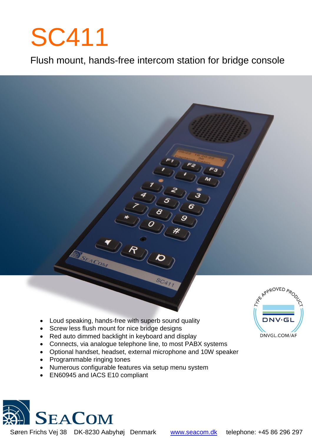# SC411

Flush mount, hands-free intercom station for bridge console

- Loud speaking, hands-free with superb sound quality
- Screw less flush mount for nice bridge designs
- Red auto dimmed backlight in keyboard and display
- Connects, via analogue telephone line, to most PABX systems
- Optional handset, headset, external microphone and 10W speaker
- Programmable ringing tones
- Numerous configurable features via setup menu system
- EN60945 and IACS E10 compliant

SEACOM